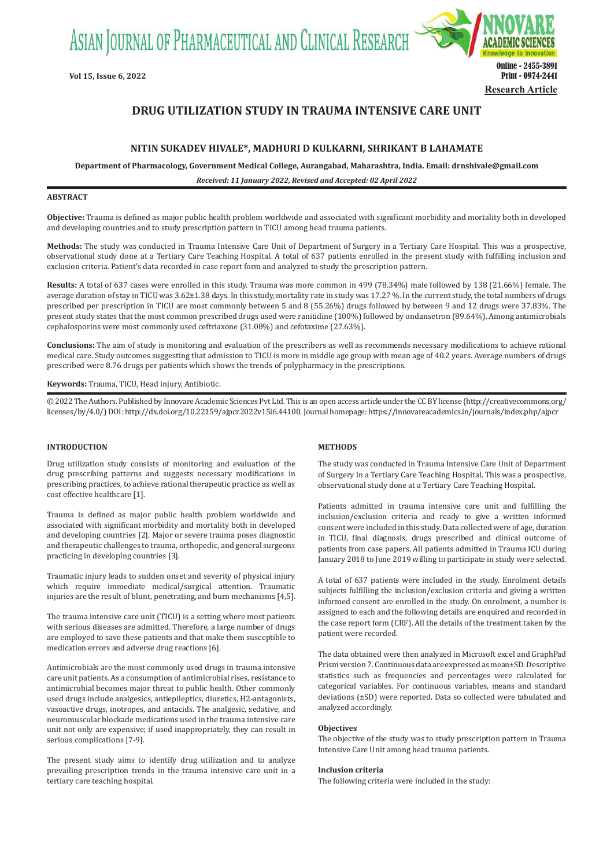ASIAN JOURNAL OF PHARMACEUTICAL AND CLINICAL RESEARCH



# **DRUG UTILIZATION STUDY IN TRAUMA INTENSIVE CARE UNIT**

# **NITIN SUKADEV HIVALE\*, MADHURI D KULKARNI, SHRIKANT B LAHAMATE**

**Department of Pharmacology, Government Medical College, Aurangabad, Maharashtra, India. Email: drnshivale@gmail.com**

*Received: 11 January 2022, Revised and Accepted: 02 April 2022*

# **ABSTRACT**

**Objective:** Trauma is defined as major public health problem worldwide and associated with significant morbidity and mortality both in developed and developing countries and to study prescription pattern in TICU among head trauma patients.

**Methods:** The study was conducted in Trauma Intensive Care Unit of Department of Surgery in a Tertiary Care Hospital. This was a prospective, observational study done at a Tertiary Care Teaching Hospital. A total of 637 patients enrolled in the present study with fulfilling inclusion and exclusion criteria. Patient's data recorded in case report form and analyzed to study the prescription pattern.

**Results:** A total of 637 cases were enrolled in this study. Trauma was more common in 499 (78.34%) male followed by 138 (21.66%) female. The average duration of stay in TICU was 3.62±1.38 days. In this study, mortality rate in study was 17.27 %. In the current study, the total numbers of drugs prescribed per prescription in TICU are most commonly between 5 and 8 (55.26%) drugs followed by between 9 and 12 drugs were 37.83%. The present study states that the most common prescribed drugs used were ranitidine (100%) followed by ondansetron (89.64%). Among antimicrobials cephalosporins were most commonly used ceftriaxone (31.08%) and cefotaxime (27.63%).

**Conclusions:** The aim of study is monitoring and evaluation of the prescribers as well as recommends necessary modifications to achieve rational medical care. Study outcomes suggesting that admission to TICU is more in middle age group with mean age of 40.2 years. Average numbers of drugs prescribed were 8.76 drugs per patients which shows the trends of polypharmacy in the prescriptions.

**Keywords:** Trauma, TICU, Head injury, Antibiotic.

© 2022 The Authors. Published by Innovare Academic Sciences Pvt Ltd. This is an open access article under the CC BY license (http://creativecommons.org/ licenses/by/4.0/) DOI: http://dx.doi.org/10.22159/ajpcr.2022v15i6.44100. Journal homepage: https://innovareacademics.in/journals/index.php/ajpcr

### **INTRODUCTION**

Drug utilization study consists of monitoring and evaluation of the drug prescribing patterns and suggests necessary modifications in prescribing practices, to achieve rational therapeutic practice as well as cost effective healthcare [1].

Trauma is defined as major public health problem worldwide and associated with significant morbidity and mortality both in developed and developing countries [2]. Major or severe trauma poses diagnostic and therapeutic challenges to trauma, orthopedic, and general surgeons practicing in developing countries [3].

Traumatic injury leads to sudden onset and severity of physical injury which require immediate medical/surgical attention. Traumatic injuries are the result of blunt, penetrating, and burn mechanisms [4,5].

The trauma intensive care unit (TICU) is a setting where most patients with serious diseases are admitted. Therefore, a large number of drugs are employed to save these patients and that make them susceptible to medication errors and adverse drug reactions [6].

Antimicrobials are the most commonly used drugs in trauma intensive care unit patients. As a consumption of antimicrobial rises, resistance to antimicrobial becomes major threat to public health. Other commonly used drugs include analgesics, antiepileptics, diuretics, H2-antagonists, vasoactive drugs, inotropes, and antacids. The analgesic, sedative, and neuromuscular blockade medications used in the trauma intensive care unit not only are expensive; if used inappropriately, they can result in serious complications [7-9].

The present study aims to identify drug utilization and to analyze prevailing prescription trends in the trauma intensive care unit in a tertiary care teaching hospital.

# **METHODS**

The study was conducted in Trauma Intensive Care Unit of Department of Surgery in a Tertiary Care Teaching Hospital. This was a prospective, observational study done at a Tertiary Care Teaching Hospital.

Patients admitted in trauma intensive care unit and fulfilling the inclusion/exclusion criteria and ready to give a written informed consent were included in this study. Data collected were of age, duration in TICU, final diagnosis, drugs prescribed and clinical outcome of patients from case papers. All patients admitted in Trauma ICU during January 2018 to June 2019 willing to participate in study were selected.

A total of 637 patients were included in the study. Enrolment details subjects fulfilling the inclusion/exclusion criteria and giving a written informed consent are enrolled in the study. On enrolment, a number is assigned to each and the following details are enquired and recorded in the case report form (CRF). All the details of the treatment taken by the patient were recorded.

The data obtained were then analyzed in Microsoft excel and GraphPad Prism version 7. Continuous data are expressed as mean±SD. Descriptive statistics such as frequencies and percentages were calculated for categorical variables. For continuous variables, means and standard deviations (±SD) were reported. Data so collected were tabulated and analyzed accordingly.

#### **Objectives**

The objective of the study was to study prescription pattern in Trauma Intensive Care Unit among head trauma patients.

### **Inclusion criteria**

The following criteria were included in the study: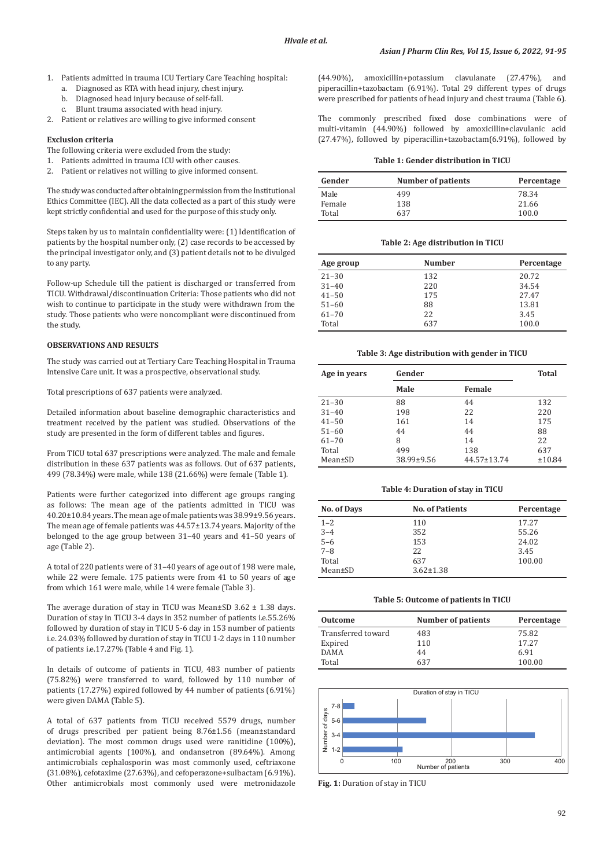- 1. Patients admitted in trauma ICU Tertiary Care Teaching hospital:
	- a. Diagnosed as RTA with head injury, chest injury.
	- b. Diagnosed head injury because of self-fall.<br>c. Blunt trauma associated with head injury.
	- Blunt trauma associated with head injury.
- 2. Patient or relatives are willing to give informed consent

### **Exclusion criteria**

- The following criteria were excluded from the study:
- 1. Patients admitted in trauma ICU with other causes.
- 2. Patient or relatives not willing to give informed consent.

The study was conducted after obtaining permission from the Institutional Ethics Committee (IEC). All the data collected as a part of this study were kept strictly confidential and used for the purpose of this study only.

Steps taken by us to maintain confidentiality were: (1) Identification of patients by the hospital number only, (2) case records to be accessed by the principal investigator only, and (3) patient details not to be divulged to any party.

Follow-up Schedule till the patient is discharged or transferred from TICU. Withdrawal/discontinuation Criteria: Those patients who did not wish to continue to participate in the study were withdrawn from the study. Those patients who were noncompliant were discontinued from the study.

### **OBSERVATIONS AND RESULTS**

The study was carried out at Tertiary Care Teaching Hospital in Trauma Intensive Care unit. It was a prospective, observational study.

Total prescriptions of 637 patients were analyzed.

Detailed information about baseline demographic characteristics and treatment received by the patient was studied. Observations of the study are presented in the form of different tables and figures.

From TICU total 637 prescriptions were analyzed. The male and female distribution in these 637 patients was as follows. Out of 637 patients, 499 (78.34%) were male, while 138 (21.66%) were female (Table 1).

Patients were further categorized into different age groups ranging as follows: The mean age of the patients admitted in TICU was 40.20±10.84years. The mean age of male patients was 38.99±9.56years. The mean age of female patients was 44.57±13.74 years. Majority of the belonged to the age group between 31–40 years and 41–50 years of age (Table 2).

A total of 220 patients were of 31–40 years of age out of 198 were male, while 22 were female. 175 patients were from 41 to 50 years of age from which 161 were male, while 14 were female (Table 3).

The average duration of stay in TICU was Mean $\pm$ SD 3.62  $\pm$  1.38 days. Duration of stay in TICU 3-4 days in 352 number of patients i.e.55.26% followed by duration of stay in TICU 5-6 day in 153 number of patients i.e. 24.03% followed by duration of stay in TICU 1-2 days in 110 number of patients i.e.17.27% (Table 4 and Fig. 1).

In details of outcome of patients in TICU, 483 number of patients (75.82%) were transferred to ward, followed by 110 number of patients (17.27%) expired followed by 44 number of patients (6.91%) were given DAMA (Table 5).

A total of 637 patients from TICU received 5579 drugs, number of drugs prescribed per patient being 8.76±1.56 (mean±standard deviation). The most common drugs used were ranitidine (100%), antimicrobial agents (100%), and ondansetron (89.64%). Among antimicrobials cephalosporin was most commonly used, ceftriaxone (31.08%), cefotaxime (27.63%), and cefoperazone+sulbactam (6.91%). Other antimicrobials most commonly used were metronidazole

(44.90%), amoxicillin+potassium clavulanate (27.47%), and piperacillin+tazobactam (6.91%). Total 29 different types of drugs were prescribed for patients of head injury and chest trauma (Table 6).

The commonly prescribed fixed dose combinations were of multi-vitamin (44.90%) followed by amoxicillin+clavulanic acid (27.47%), followed by piperacillin+tazobactam(6.91%), followed by

#### **Table 1: Gender distribution in TICU**

| Gender | <b>Number of patients</b> | Percentage |
|--------|---------------------------|------------|
| Male   | 499                       | 78.34      |
| Female | 138                       | 21.66      |
| Total  | 637                       | 100.0      |

### **Table 2: Age distribution in TICU**

| Age group | <b>Number</b> | Percentage |
|-----------|---------------|------------|
| $21 - 30$ | 132           | 20.72      |
| $31 - 40$ | 220           | 34.54      |
| $41 - 50$ | 175           | 27.47      |
| $51 - 60$ | 88            | 13.81      |
| $61 - 70$ | 22            | 3.45       |
| Total     | 637           | 100.0      |

#### **Table 3: Age distribution with gender in TICU**

| Age in years | Gender     |             | Total  |
|--------------|------------|-------------|--------|
|              | Male       | Female      |        |
| $21 - 30$    | 88         | 44          | 132    |
| $31 - 40$    | 198        | 22          | 220    |
| $41 - 50$    | 161        | 14          | 175    |
| $51 - 60$    | 44         | 44          | 88     |
| $61 - 70$    | 8          | 14          | 22     |
| Total        | 499        | 138         | 637    |
| Mean±SD      | 38.99±9.56 | 44.57±13.74 | ±10.84 |

# **Table 4: Duration of stay in TICU**

| <b>No. of Days</b> | <b>No. of Patients</b> | Percentage |
|--------------------|------------------------|------------|
| $1 - 2$            | 110                    | 17.27      |
| $3 - 4$            | 352                    | 55.26      |
| $5 - 6$            | 153                    | 24.02      |
| $7 - 8$            | 22                     | 3.45       |
| Total              | 637                    | 100.00     |
| $Mean \pm SD$      | $3.62 \pm 1.38$        |            |

#### **Table 5: Outcome of patients in TICU**

| <b>Outcome</b>     | <b>Number of patients</b> | Percentage |
|--------------------|---------------------------|------------|
| Transferred toward | 483                       | 75.82      |
| Expired            | 110                       | 17.27      |
| <b>DAMA</b>        | 44                        | 6.91       |
| Total              | 637                       | 100.00     |



**Fig. 1:** Duration of stay in TICU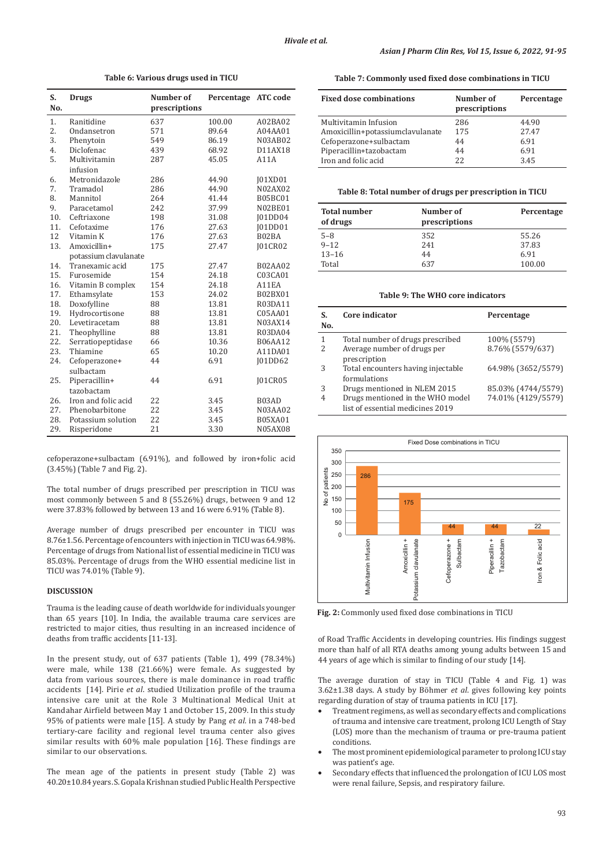| S.<br>No. | <b>Drugs</b>               | Number of<br>prescriptions | Percentage ATC code |                |
|-----------|----------------------------|----------------------------|---------------------|----------------|
| 1.        | Ranitidine                 | 637                        | 100.00              | A02BA02        |
| 2.        | Ondansetron                | 571                        | 89.64               | A04AA01        |
| 3.        | Phenytoin                  | 549                        | 86.19               | N03AB02        |
| 4.        | Diclofenac                 | 439                        | 68.92               | D11AX18        |
| 5.        | Multivitamin               | 287                        | 45.05               | A11A           |
|           | infusion                   |                            |                     |                |
| 6.        | Metronidazole              | 286                        | 44.90               | <b>J01XD01</b> |
| 7.        | Tramadol                   | 286                        | 44.90               | N02AX02        |
| 8.        | Mannitol                   | 264                        | 41.44               | <b>B05BC01</b> |
| 9.        | Paracetamol                | 242                        | 37.99               | N02BE01        |
| 10.       | Ceftriaxone                | 198                        | 31.08               | <b>J01DD04</b> |
| 11.       | Cefotaxime                 | 176                        | 27.63               | <b>[01DD01</b> |
| 12        | Vitamin K                  | 176                        | 27.63               | B02BA          |
| 13.       | Amoxicillin+               | 175                        | 27.47               | <b>J01CR02</b> |
|           | potassium clavulanate      |                            |                     |                |
| 14.       | Tranexamic acid            | 175                        | 27.47               | <b>B02AA02</b> |
| 15.       | Furosemide                 | 154                        | 24.18               | C03CA01        |
| 16.       | Vitamin B complex          | 154                        | 24.18               | A11EA          |
| 17.       | Ethamsylate                | 153                        | 24.02               | B02BX01        |
| 18.       | Doxofylline                | 88                         | 13.81               | R03DA11        |
| 19.       | Hydrocortisone             | 88                         | 13.81               | C05AA01        |
| 20.       | Levetiracetam              | 88                         | 13.81               | N03AX14        |
| 21.       | Theophylline               | 88                         | 13.81               | R03DA04        |
| 22.       | Serratiopeptidase          | 66                         | 10.36               | <b>B06AA12</b> |
| 23.       | Thiamine                   | 65                         | 10.20               | A11DA01        |
| 24.       | Cefoperazone+<br>sulbactam | 44                         | 6.91                | <b>J01DD62</b> |
| 25.       | Piperacillin+              | 44                         | 6.91                | <b>J01CR05</b> |
|           | tazobactam                 |                            |                     |                |
| 26.       | Iron and folic acid        | 22                         | 3.45                | B03AD          |
| 27.       | Phenobarbitone             | 22                         | 3.45                | N03AA02        |
| 28.       | Potassium solution         | 22                         | 3.45                | <b>B05XA01</b> |
| 29.       | Risperidone                | 21                         | 3.30                | <b>N05AX08</b> |

**Table 6: Various drugs used in TICU**

cefoperazone+sulbactam (6.91%), and followed by iron+folic acid (3.45%) (Table 7 and Fig. 2).

The total number of drugs prescribed per prescription in TICU was most commonly between 5 and 8 (55.26%) drugs, between 9 and 12 were 37.83% followed by between 13 and 16 were 6.91% (Table 8).

Average number of drugs prescribed per encounter in TICU was 8.76±1.56. Percentage of encounters with injection in TICU was 64.98%. Percentage of drugs from National list of essential medicine in TICU was 85.03%. Percentage of drugs from the WHO essential medicine list in TICU was 74.01% (Table 9).

### **DISCUSSION**

Trauma is the leading cause of death worldwide for individuals younger than 65 years [10]. In India, the available trauma care services are restricted to major cities, thus resulting in an increased incidence of deaths from traffic accidents [11-13].

In the present study, out of 637 patients (Table 1), 499 (78.34%) were male, while 138 (21.66%) were female. As suggested by data from various sources, there is male dominance in road traffic accidents [14]. Pirie *et al*. studied Utilization profile of the trauma intensive care unit at the Role 3 Multinational Medical Unit at Kandahar Airfield between May 1 and October 15, 2009. In this study 95% of patients were male [15]. A study by Pang *et al.* in a 748-bed tertiary-care facility and regional level trauma center also gives similar results with 60% male population [16]. These findings are similar to our observations.

The mean age of the patients in present study (Table 2) was 40.20±10.84years. S. Gopala Krishnan studied Public Health Perspective

**Table 7: Commonly used fixed dose combinations in TICU**

| <b>Fixed dose combinations</b>   | Number of<br>prescriptions | Percentage |
|----------------------------------|----------------------------|------------|
| Multivitamin Infusion            | 286                        | 44.90      |
| Amoxicillin+potassiumclavulanate | 175                        | 27.47      |
| Cefoperazone+sulbactam           | 44                         | 6.91       |
| Piperacillin+tazobactam          | 44                         | 6.91       |
| Iron and folic acid              | 22                         | 3.45       |

**Table 8: Total number of drugs per prescription in TICU**

| <b>Total number</b><br>of drugs | Number of<br>prescriptions | Percentage |
|---------------------------------|----------------------------|------------|
| $5 - 8$                         | 352                        | 55.26      |
| $9 - 12$                        | 2.41                       | 37.83      |
| $13 - 16$                       | 44                         | 6.91       |
| Total                           | 637                        | 100.00     |

**Table 9: The WHO core indicators**

| S.<br>No. | Core indicator                                                       | Percentage         |
|-----------|----------------------------------------------------------------------|--------------------|
|           | Total number of drugs prescribed                                     | 100% (5579)        |
| 2         | Average number of drugs per<br>prescription                          | 8.76% (5579/637)   |
| 3         | Total encounters having injectable<br>formulations                   | 64.98% (3652/5579) |
| 3         | Drugs mentioned in NLEM 2015                                         | 85.03% (4744/5579) |
|           | Drugs mentioned in the WHO model<br>list of essential medicines 2019 | 74.01% (4129/5579) |



**Fig. 2:** Commonly used fixed dose combinations in TICU

of Road Traffic Accidents in developing countries. His findings suggest more than half of all RTA deaths among young adults between 15 and 44 years of age which is similar to finding of our study [14].

The average duration of stay in TICU (Table 4 and Fig. 1) was 3.62±1.38 days. A study by Böhmer *et al*. gives following key points regarding duration of stay of trauma patients in ICU [17].

- Treatment regimens, as well as secondary effects and complications of trauma and intensive care treatment, prolong ICU Length of Stay (LOS) more than the mechanism of trauma or pre-trauma patient conditions.
- The most prominent epidemiological parameter to prolong ICU stay was patient's age.
- Secondary effects that influenced the prolongation of ICU LOS most were renal failure, Sepsis, and respiratory failure.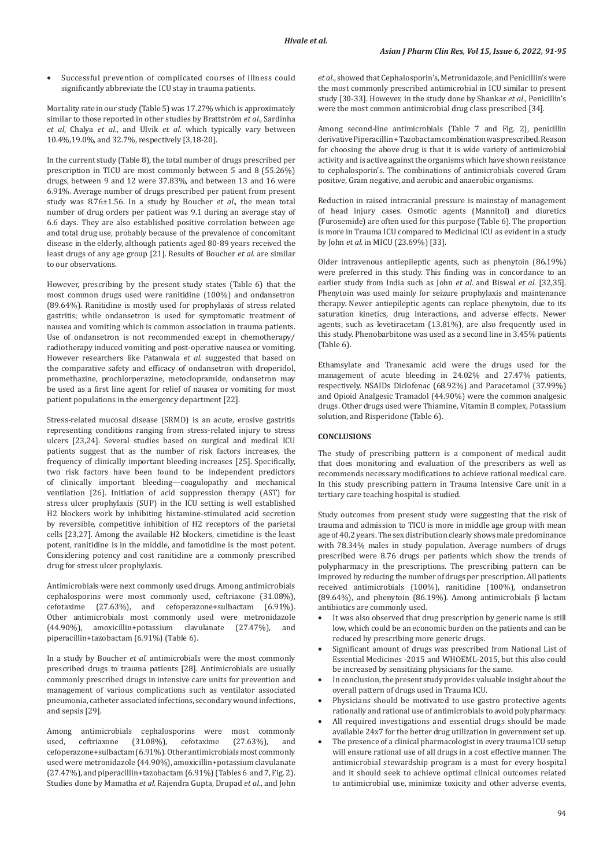Successful prevention of complicated courses of illness could significantly abbreviate the ICU stay in trauma patients.

Mortality rate in our study (Table 5) was 17.27% which is approximately similar to those reported in other studies by Brattström *et al*., Sardinha *et al*, Chalya *et al*., and Ulvik *et al*. which typically vary between 10.4%,19.0%, and 32.7%, respectively [3,18-20].

In the current study (Table 8), the total number of drugs prescribed per prescription in TICU are most commonly between 5 and 8 (55.26%) drugs, between 9 and 12 were 37.83%, and between 13 and 16 were 6.91%. Average number of drugs prescribed per patient from present study was 8.76±1.56. In a study by Boucher *et al*., the mean total number of drug orders per patient was 9.1 during an average stay of 6.6 days. They are also established positive correlation between age and total drug use, probably because of the prevalence of concomitant disease in the elderly, although patients aged 80-89 years received the least drugs of any age group [21]. Results of Boucher *et al*. are similar to our observations.

However, prescribing by the present study states (Table 6) that the most common drugs used were ranitidine (100%) and ondansetron (89.64%). Ranitidine is mostly used for prophylaxis of stress related gastritis; while ondansetron is used for symptomatic treatment of nausea and vomiting which is common association in trauma patients. Use of ondansetron is not recommended except in chemotherapy/ radiotherapy induced vomiting and post-operative nausea or vomiting. However researchers like Patanwala *et al*. suggested that based on the comparative safety and efficacy of ondansetron with droperidol, promethazine, prochlorperazine, metoclopramide, ondansetron may be used as a first line agent for relief of nausea or vomiting for most patient populations in the emergency department [22].

Stress-related mucosal disease (SRMD) is an acute, erosive gastritis representing conditions ranging from stress-related injury to stress ulcers [23,24]. Several studies based on surgical and medical ICU patients suggest that as the number of risk factors increases, the frequency of clinically important bleeding increases [25]. Specifically, two risk factors have been found to be independent predictors of clinically important bleeding—coagulopathy and mechanical ventilation [26]. Initiation of acid suppression therapy (AST) for stress ulcer prophylaxis (SUP) in the ICU setting is well established H2 blockers work by inhibiting histamine-stimulated acid secretion by reversible, competitive inhibition of H2 receptors of the parietal cells [23,27]. Among the available H2 blockers, cimetidine is the least potent, ranitidine is in the middle, and famotidine is the most potent. Considering potency and cost ranitidine are a commonly prescribed drug for stress ulcer prophylaxis.

Antimicrobials were next commonly used drugs. Among antimicrobials cephalosporins were most commonly used, ceftriaxone (31.08%), cefotaxime (27.63%), and cefoperazone+sulbactam (6.91%). Other antimicrobials most commonly used were metronidazole (44.90%), amoxicillin+potassium clavulanate (27.47%), and piperacillin+tazobactam (6.91%) (Table 6).

In a study by Boucher *et al*. antimicrobials were the most commonly prescribed drugs to trauma patients [28]. Antimicrobials are usually commonly prescribed drugs in intensive care units for prevention and management of various complications such as ventilator associated pneumonia, catheter associated infections, secondary wound infections, and sepsis [29].

Among antimicrobials cephalosporins were most commonly used, ceftriaxone (31.08%), cefotaxime (27.63%), and used, ceftriaxone (31.08%), cefotaxime (27.63%), and cefoperazone+sulbactam (6.91%). Other antimicrobials most commonly used were metronidazole (44.90%), amoxicillin+potassium clavulanate (27.47%), and piperacillin+tazobactam (6.91%) (Tables 6 and 7, Fig. 2). Studies done by Mamatha *et al*. Rajendra Gupta, Drupad *et al*., and John *et al*., showed that Cephalosporin's, Metronidazole, and Penicillin's were the most commonly prescribed antimicrobial in ICU similar to present study [30-33]. However, in the study done by Shankar *et al*., Penicillin's were the most common antimicrobial drug class prescribed [34].

Among second-line antimicrobials (Table 7 and Fig. 2), penicillin derivative Piperacillin + Tazobactam combination was prescribed. Reason for choosing the above drug is that it is wide variety of antimicrobial activity and is active against the organisms which have shown resistance to cephalosporin's. The combinations of antimicrobials covered Gram positive, Gram negative, and aerobic and anaerobic organisms.

Reduction in raised intracranial pressure is mainstay of management of head injury cases. Osmotic agents (Mannitol) and diuretics (Furosemide) are often used for this purpose (Table 6). The proportion is more in Trauma ICU compared to Medicinal ICU as evident in a study by John *et al*. in MICU (23.69%) [33].

Older intravenous antiepileptic agents, such as phenytoin (86.19%) were preferred in this study. This finding was in concordance to an earlier study from India such as John *et al*. and Biswal *et al*. [32,35]. Phenytoin was used mainly for seizure prophylaxis and maintenance therapy. Newer antiepileptic agents can replace phenytoin, due to its saturation kinetics, drug interactions, and adverse effects. Newer agents, such as levetiracetam (13.81%), are also frequently used in this study. Phenobarbitone was used as a second line in 3.45% patients (Table 6).

Ethamsylate and Tranexamic acid were the drugs used for the management of acute bleeding in 24.02% and 27.47% patients, respectively. NSAIDs Diclofenac (68.92%) and Paracetamol (37.99%) and Opioid Analgesic Tramadol (44.90%) were the common analgesic drugs. Other drugs used were Thiamine, Vitamin B complex, Potassium solution, and Risperidone (Table 6).

# **CONCLUSIONS**

The study of prescribing pattern is a component of medical audit that does monitoring and evaluation of the prescribers as well as recommends necessary modifications to achieve rational medical care. In this study prescribing pattern in Trauma Intensive Care unit in a tertiary care teaching hospital is studied.

Study outcomes from present study were suggesting that the risk of trauma and admission to TICU is more in middle age group with mean age of 40.2 years. The sex distribution clearly shows male predominance with 78.34% males in study population. Average numbers of drugs prescribed were 8.76 drugs per patients which show the trends of polypharmacy in the prescriptions. The prescribing pattern can be improved by reducing the number of drugs per prescription. All patients received antimicrobials (100%), ranitidine (100%), ondansetron (89.64%), and phenytoin (86.19%). Among antimicrobials β lactam antibiotics are commonly used.

- It was also observed that drug prescription by generic name is still low, which could be an economic burden on the patients and can be reduced by prescribing more generic drugs.
- Significant amount of drugs was prescribed from National List of Essential Medicines -2015 and WHOEML-2015, but this also could be increased by sensitizing physicians for the same.
- In conclusion, the present study provides valuable insight about the overall pattern of drugs used in Trauma ICU.
- Physicians should be motivated to use gastro protective agents rationally and rational use of antimicrobials to avoid polypharmacy.
- All required investigations and essential drugs should be made available 24x7 for the better drug utilization in government set up.
- The presence of a clinical pharmacologist in every trauma ICU setup will ensure rational use of all drugs in a cost effective manner. The antimicrobial stewardship program is a must for every hospital and it should seek to achieve optimal clinical outcomes related to antimicrobial use, minimize toxicity and other adverse events,